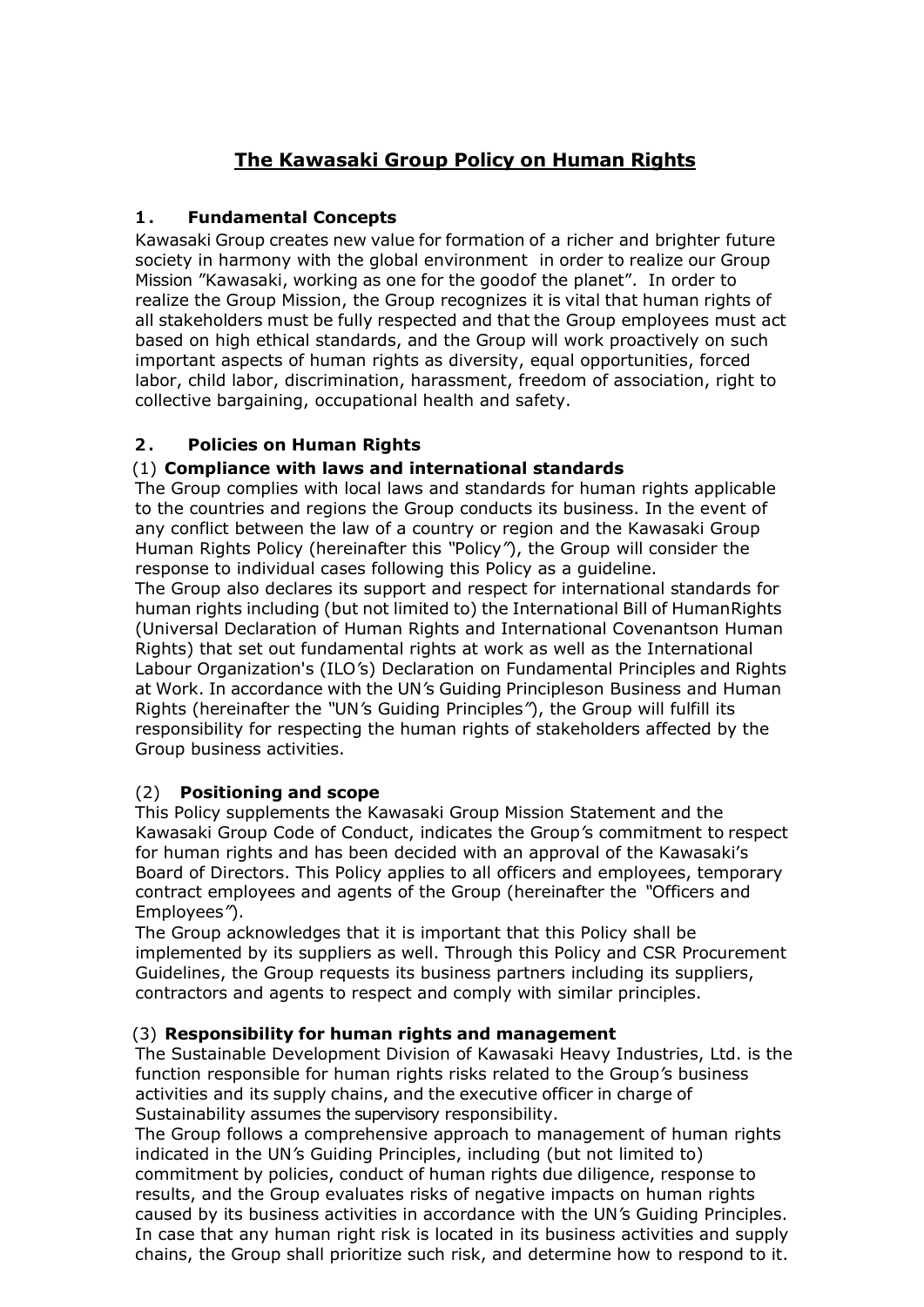# **The Kawasaki Group Policy on Human Rights**

# **1. Fundamental Concepts**

Kawasaki Group creates new value for formation of a richer and brighter future society in harmony with the global environment in order to realize our Group Mission "Kawasaki, working as one for the goodof the planet". In order to realize the Group Mission, the Group recognizes it is vital that human rights of all stakeholders must be fully respected and that the Group employees must act based on high ethical standards, and the Group will work proactively on such important aspects of human rights as diversity, equal opportunities, forced labor, child labor, discrimination, harassment, freedom of association, right to collective bargaining, occupational health and safety.

# **2. Policies on Human Rights**

# (1) **Compliance with laws and international standards**

The Group complies with local laws and standards for human rights applicable to the countries and regions the Group conducts its business. In the event of any conflict between the law of a country or region and the Kawasaki Group Human Rights Policy (hereinafter this *"*Policy*"*), the Group will consider the response to individual cases following this Policy as a guideline.

The Group also declares its support and respect for international standards for human rights including (but not limited to) the International Bill of HumanRights (Universal Declaration of Human Rights and International Covenantson Human Rights) that set out fundamental rights at work as well as the International Labour Organization's (ILO*'*s) Declaration on Fundamental Principles and Rights at Work. In accordance with the UN*'*s Guiding Principleson Business and Human Rights (hereinafter the *"*UN*'*s Guiding Principles*"*), the Group will fulfill its responsibility for respecting the human rights of stakeholders affected by the Group business activities.

## (2) **Positioning and scope**

This Policy supplements the Kawasaki Group Mission Statement and the Kawasaki Group Code of Conduct, indicates the Group*'*s commitment to respect for human rights and has been decided with an approval of the Kawasaki's Board of Directors. This Policy applies to all officers and employees, temporary contract employees and agents of the Group (hereinafter the *"*Officers and Employees*"*).

The Group acknowledges that it is important that this Policy shall be implemented by its suppliers as well. Through this Policy and CSR Procurement Guidelines, the Group requests its business partners including its suppliers, contractors and agents to respect and comply with similar principles.

## (3) **Responsibility for human rights and management**

The Sustainable Development Division of Kawasaki Heavy Industries, Ltd. is the function responsible for human rights risks related to the Group*'*s business activities and its supply chains, and the executive officer in charge of Sustainability assumes the supervisory responsibility.

The Group follows a comprehensive approach to management of human rights indicated in the UN*'*s Guiding Principles, including (but not limited to) commitment by policies, conduct of human rights due diligence, response to results, and the Group evaluates risks of negative impacts on human rights caused by its business activities in accordance with the UN*'*s Guiding Principles. In case that any human right risk is located in its business activities and supply chains, the Group shall prioritize such risk, and determine how to respond to it.